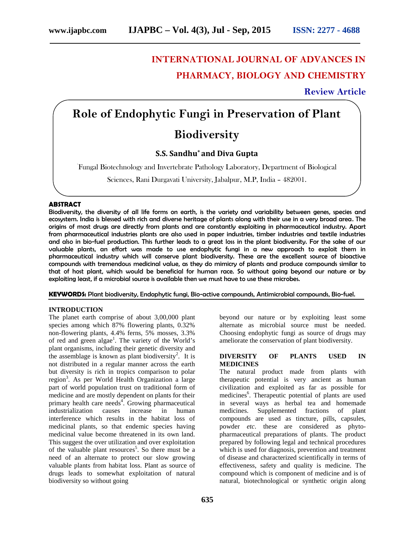# **INTERNATIONAL JOURNAL OF ADVANCES IN PHARMACY, BIOLOGY AND CHEMISTRY**

# **Review Article**

# **Role of Endophytic Fungi in Preservation of Plant Biodiversity**

# **S.S. Sandhu\* and Diva Gupta**

\*Fungal Biotechnology and Invertebrate Pathology Laboratory, Department of Biological

Sciences, Rani Durgavati University, Jabalpur, M.P, India – 482001.

#### **ABSTRACT**

Biodiversity, the diversity of all life forms on earth, is the variety and variability between genes, species and ecosystem. India is blessed with rich and diverse heritage of plants along with their use in a very broad area. The origins of most drugs are directly from plants and are constantly exploiting in pharmaceutical industry. Apart from pharmaceutical industries plants are also used in paper industries, timber industries and textile industries and also in bio-fuel production. This further leads to a great loss in the plant biodiversity. For the sake of our valuable plants, an effort was made to use endophytic fungi in a new approach to exploit them in pharmaceutical industry which will conserve plant biodiversity. These are the excellent source of bioactive compounds with tremendous medicinal value, as they do mimicry of plants and produce compounds similar to that of host plant, which would be beneficial for human race. So without going beyond our nature or by exploiting least, if a microbial source is available then we must have to use these microbes.

**KEYWORDS:** Plant biodiversity, Endophytic fungi, Bio-active compounds, Antimicrobial compounds, Bio-fuel.

#### **INTRODUCTION**

The planet earth comprise of about 3,00,000 plant species among which 87% flowering plants, 0.32% non-flowering plants, 4.4% ferns, 5% mosses, 3.3% of red and green algae<sup>1</sup>. The variety of the World's plant organisms, including their genetic diversity and the assemblage is known as plant biodiversity<sup>2</sup>. It is not distributed in a regular manner across the earth but diversity is rich in tropics comparison to polar region<sup>3</sup>. As per World Health Organization a large part of world population trust on traditional form of medicine and are mostly dependent on plants for their primary health care needs<sup>4</sup>. Growing pharmaceutical industrialization causes increase in human medicines. interference which results in the habitat loss of medicinal plants, so that endemic species having medicinal value become threatened in its own land. This suggest the over utilization and over exploitation of the valuable plant resources<sup>5</sup>. So there must be a need of an alternate to protect our slow growing valuable plants from habitat loss. Plant as source of drugs leads to somewhat exploitation of natural biodiversity so without going

beyond our nature or by exploiting least some alternate as microbial source must be needed. Choosing endophytic fungi as source of drugs may ameliorate the conservation of plant biodiversity.

#### **DIVERSITY OF PLANTS USED IN MEDICINES**

The natural product made from plants with therapeutic potential is very ancient as human civilization and exploited as far as possible for medicines<sup>6</sup>. Therapeutic potential of plants are used in several ways as herbal tea and homemade Supplemented fractions of plant compounds are used as tincture, pills, capsules, powder *etc*. these are considered as phyto pharmaceutical preparations of plants. The product prepared by following legal and technical procedures which is used for diagnosis, prevention and treatment of disease and characterized scientifically in terms of effectiveness, safety and quality is medicine. The compound which is component of medicine and is of natural, biotechnological or synthetic origin along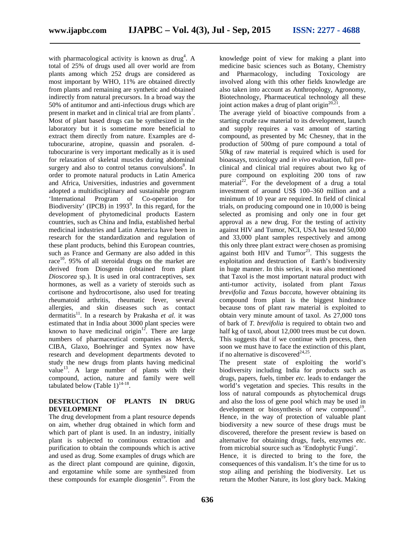with pharmacological activity is known as drug<sup>4</sup>. A total of 25% of drugs used all over world are from plants among which 252 drugs are considered as most important by WHO, 11% are obtained directly from plants and remaining are synthetic and obtained indirectly from natural precursors. In a broad way the 50% of antitumor and anti-infectious drugs which are present in market and in clinical trial are from plants<sup>7</sup>. Most of plant based drugs can be synthesized in the laboratory but it is sometime more beneficial to extract them directly from nature. Examples are dtubocurarine, atropine, quassin and psoralen. dtubocurarine is very important medically as it is used for relaxation of skeletal muscles during abdominal surgery and also to control tetanus convulsions $\delta$ . In order to promote natural products in Latin America and Africa, Universities, industries and government adopted a multidisciplinary and sustainable program 'International Program of Co-operation for Biodiversity' (IPCB) in  $1993^\circ$ . In this regard, for the development of phytomedicinal products Eastern countries, such as China and India, established herbal medicinal industries and Latin America have been in research for the standardization and regulation of these plant products, behind this European countries, such as France and Germany are also added in this race<sup>10</sup>. 95% of all steroidal drugs on the market are derived from Diosgenin (obtained from plant *Dioscorea* sp*.*). It is used in oral contraceptives, sex hormones, as well as a variety of steroids such as cortisone and hydrocortisone, also used for treating rheumatoid arthritis, rheumatic fever, several allergies, and skin diseases such as contact dermatitis<sup>11</sup>. In a research by Prakasha et al. it was estimated that in India about 3000 plant species were known to have medicinal origin<sup>12</sup>. There are large numbers of pharmaceutical companies as Merck, CIBA, Glaxo, Boehringer and Syntex now have research and development departments devoted to study the new drugs from plants having medicinal value<sup>13</sup>. A large number of plants with their compound, action, nature and family were well tabulated below (Table  $1)^{14-18}$ .

#### **DESTRUCTION OF PLANTS IN DRUG DEVELOPMENT**

The drug development from a plant resource depends on aim, whether drug obtained in which form and which part of plant is used. In an industry, initially plant is subjected to continuous extraction and purification to obtain the compounds which is active and used as drug. Some examples of drugs which are as the direct plant compound are quinine, digoxin, and ergotamine while some are synthesized from these compounds for example diosgenin $19$ . From the

. A knowledge point of view for making a plant into medicine basic sciences such as Botany, Chemistry and Pharmacology, including Toxicology are involved along with this other fields knowledge are also taken into account as Anthropology, Agronomy, Biotechnology, Pharmaceutical technology all these joint action makes a drug of plant origin<sup>20,21</sup>. .

The average yield of bioactive compounds from a starting crude raw material to its development, launch and supply requires a vast amount of starting compound, as presented by Mc Chesney, that in the production of 500mg of pure compound a total of 50kg of raw material is required which is used for bioassays, toxicology and *in vivo* evaluation, full pre clinical and clinical trial requires about two kg of pure compound on exploiting 200 tons of raw  $\text{material}^{22}$ . For the development of a drug a total investment of around US\$ 100–360 million and a minimum of 10 year are required. In field of clinical trials, on producing compound one in 10,000 is being selected as promising and only one in four get approval as a new drug. For the testing of activity against HIV and Tumor, NCI, USA has tested 50,000 and 33,000 plant samples respectively and among this only three plant extract were chosen as promising against both  $\text{HIV}$  and  $\text{Turnor}^{23}$ . This suggests the exploitation and destruction of Earth's biodiversity in huge manner. In this series, it was also mentioned that Taxol is the most important natural product with anti-tumor activity, isolated from plant *Taxus brevifolia* and *Taxus baccata*, however obtaining its compound from plant is the biggest hindrance because tons of plant raw material is exploited to obtain very minute amount of taxol. As 27,000 tons of bark of *T. brevifolia* is required to obtain two and half kg of taxol, about 12,000 trees must be cut down. This suggests that if we continue with process, then soon we must have to face the extinction of this plant, if no alternative is discovered<sup> $24,25$ </sup>.

The present state of exploiting the world's biodiversity including India for products such as drugs, papers, fuels, timber *etc.* leads to endanger the world's vegetation and species. This results in the loss of natural compounds as phytochemical drugs and also the loss of gene pool which may be used in development or biosynthesis of new compound<sup>19</sup>. Hence, in the way of protection of valuable plant biodiversity a new source of these drugs must be discovered, therefore the present review is based on alternative for obtaining drugs, fuels, enzymes *etc*. from microbial source such as 'Endophytic Fungi'.

Hence, it is directed to bring to the fore, the consequences of this vandalism. It's the time for us to stop ailing and perishing the biodiversity. Let us return the Mother Nature, its lost glory back. Making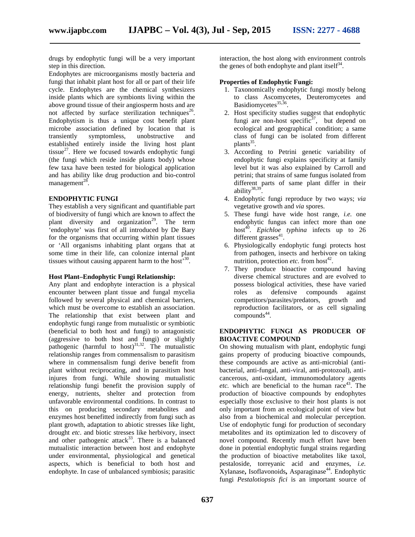drugs by endophytic fungi will be a very important step in this direction.

Endophytes are microorganisms mostly bacteria and fungi that inhabit plant host for all or part of their life cycle. Endophytes are the chemical synthesizers inside plants which are symbionts living within the above ground tissue of their angiosperm hosts and are not affected by surface sterilization techniques<sup>26</sup>. Endophytism is thus a unique cost benefit plant microbe association defined by location that is transiently symptomless, unobstructive and established entirely inside the living host plant tissue<sup>27</sup>. Here we focused towards endophytic fungi (the fungi which reside inside plants body) whose few taxa have been tested for biological application and has ability like drug production and bio-control management $^{28}$ .

#### **ENDOPHYTIC FUNGI**

They establish a very significant and quantifiable part of biodiversity of fungi which are known to affect the plant diversity and organization<sup>29</sup>. The term 'endophyte' was first of all introduced by De Bary for the organisms that occurring within plant tissues or 'All organisms inhabiting plant organs that at some time in their life, can colonize internal plant tissues without causing apparent harm to the host<sup>530</sup>.

## **Host Plant–Endophytic Fungi Relationship:**

Any plant and endophyte interaction is a physical encounter between plant tissue and fungal mycelia followed by several physical and chemical barriers, which must be overcome to establish an association. The relationship that exist between plant and endophytic fungi range from mutualistic or symbiotic (beneficial to both host and fungi) to antagonistic (aggressive to both host and fungi) or slightly pathogenic (harmful to host) 31,32 . The mutualistic relationship ranges from commensalism to parasitism where in commensalism fungi derive benefit from plant without reciprocating, and in parasitism host injures from fungi. While showing mutualistic relationship fungi benefit the provision supply of energy, nutrients, shelter and protection from unfavorable environmental conditions. In contrast to this on producing secondary metabolites and enzymes host benefitted indirectly from fungi such as plant growth, adaptation to abiotic stresses like light, drought *etc*. and biotic stresses like herbivory, insect and other pathogenic attack<sup>33</sup>. There is a balanced mutualistic interaction between host and endophyte under environmental, physiological and genetical aspects, which is beneficial to both host and endophyte. In case of unbalanced symbiosis; parasitic

interaction, the host along with environment controls the genes of both endophyte and plant itself $34$ .

#### **Properties of Endophytic Fungi:**

- 1. Taxonomically endophytic fungi mostly belong to class Ascomycetes, Deuteromycetes and Basidiomycetes<sup>35,36</sup>. .
- 2. Host specificity studies suggest that endophytic fungi are non-host specific<sup>37</sup>, but depend on ecological and geographical condition; a same class of fungi can be isolated from different  $\text{plants}^{35}$ .
- 3. According to Petrini genetic variability of endophytic fungi explains specificity at family level but it was also explained by Carroll and petrini; that strains of same fungus isolated from different parts of same plant differ in their ability<sup>38,39</sup> .
- 4. Endophytic fungi reproduce by two ways; *via* vegetative growth and *via* spores.
- 5. These fungi have wide host range, *i.e.* one endophytic fungus can infect more than one host<sup>40</sup>. *Epichloe typhina* infects up to 26 different grasses<sup>41</sup>.
- 6. Physiologically endophytic fungi protects host from pathogen, insects and herbivore on taking nutrition, protection *etc*. from host<sup>42</sup>.
- 7. They produce bioactive compound having diverse chemical structures and are evolved to possess biological activities, these have varied roles as defensive compounds against competitors/parasites/predators, growth and reproduction facilitators, or as cell signaling  $compounds<sup>44</sup>$ .

# **ENDOPHYTIC FUNGI AS PRODUCER OF BIOACTIVE COMPOUND**

On showing mutualism with plant, endophytic fungi gains property of producing bioactive compounds, these compounds are active as anti-microbial (anti bacterial, anti-fungal, anti-viral, anti-protozoal), anti cancerous, anti-oxidant, immunomodulatory agents *etc.* which are beneficial to the human race<sup>43</sup>. The production of bioactive compounds by endophytes especially those exclusive to their host plants is not only important from an ecological point of view but also from a biochemical and molecular perception. Use of endophytic fungi for production of secondary metabolites and its optimization led to discovery of novel compound. Recently much effort have been done in potential endophytic fungal strains regarding the production of bioactive metabolites like taxol, pestaloside, torreyanic acid and enzymes, *i.e.* Xylanase, Isoflavonoids, Asparaginase<sup>44</sup>. Endophytic fungi *Pestalotiopsis fici* is an important source of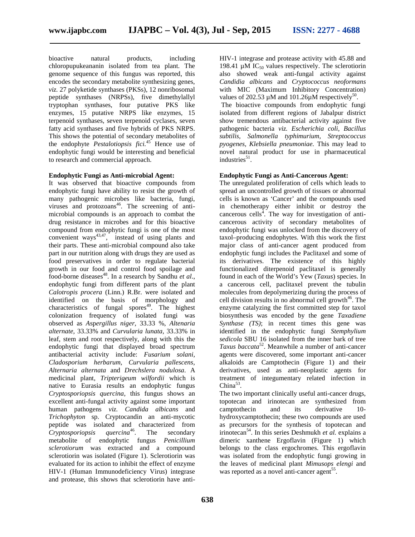bioactive natural products, including chloropupukeananin isolated from tea plant. The genome sequence of this fungus was reported, this encodes the secondary metabolite synthesizing genes, *viz.* 27 polyketide synthases (PKSs), 12 nonribosomal peptide synthases (NRPSs), five dimethylallyl tryptophan synthases, four putative PKS like enzymes, 15 putative NRPS like enzymes, 15 terpenoid synthases, seven terpenoid cyclases, seven fatty acid synthases and five hybrids of PKS NRPS. This shows the potential of secondary metabolites of the endophyte *Pestalotiopsis fici.*<sup>45</sup> Hence use of endophytic fungi would be interesting and beneficial to research and commercial approach.

#### **Endophytic Fungi as Anti-microbial Agent:**

It was observed that bioactive compounds from endophytic fungi have ability to resist the growth of many pathogenic microbes like bacteria, fungi, viruses and protozoans<sup>46</sup>. The screening of antimicrobial compounds is an approach to combat the drug resistance in microbes and for this bioactive compound from endophytic fungi is one of the most convenient ways $43,47$ , instead of using plants and their parts. These anti-microbial compound also take part in our nutrition along with drugs they are used as food preservatives in order to regulate bacterial growth in our food and control food spoilage and food-borne diseases<sup>48</sup>. In a research by Sandhu *et al.*, endophytic fungi from different parts of the plant *Calotropis procera* (Linn.) R.Br. were isolated and identified on the basis of morphology and characteristics of fungal spores<sup>49</sup>. The highest colonization frequency of isolated fungi was observed as *A*sp*ergillus niger,* 33.33 %, *Altenaria alternate,* 33.33% and *Curvularia lunata,* 33.33% in leaf, stem and root respectively, along with this the endophytic fungi that displayed broad spectrum antibacterial activity include: *Fusarium solani, Cladosporium herbarum, Curvularia pallescens, Alternaria alternata* and *Drechslera nodulosa*. A medicinal plant, *Tripterigeum wilfordii* which is native to Eurasia results an endophytic fungus *Cryptosporiopsis quercina,* this fungus shows an excellent anti-fungal activity against some important human pathogens *viz. Candida albicans* and *Trichophyton* sp. Cryptocandin an anti-mycotic peptide was isolated and characterized from<br>Cryptosporiopsis quercina<sup>46</sup>. The secondary *Cryptosporiopsis quercina*<sup>46</sup>. The secondary metabolite of endophytic fungus *Penicillium sclerotiorum* was extracted and a compound sclerotiorin was isolated (Figure 1). Sclerotiorin was evaluated for its action to inhibit the effect of enzyme HIV-1 (Human Immunodeficiency Virus) integrase and protease, this shows that sclerotiorin have anti-

HIV-1 integrase and protease activity with 45.88 and 198.41  $\mu$ M IC<sub>50</sub> values respectively. The sclerotiorin also showed weak anti-fungal activity against *Candidia albicans* and *Cryptococcus neoformans* with MIC (Maximum Inhibitory Concentration) values of 202.53  $\mu$ M and 101.26 $\mu$ M respectively<sup>50</sup>.

The bioactive compounds from endophytic fungi isolated from different regions of Jabalpur district show tremendous antibacterial activity against five pathogenic bacteria *viz. Escherichia coli, Bacillus subtilis, Salmonella typhimurium, Streptococcus pyogenes, Klebsiella pneumoniae.* This may lead to novel natural product for use in pharmaceutical industries<sup>51</sup>.

## **Endophytic Fungi as Anti-Cancerous Agent:**

The unregulated proliferation of cells which leads to spread an uncontrolled growth of tissues or abnormal cells is known as 'Cancer' and the compounds used in chemotherapy either inhibit or destroy the cancerous cells<sup>4</sup>. The way for investigation of anticancerous activity of secondary metabolites of endophytic fungi was unlocked from the discovery of taxol–producing endophytes. With this work the first major class of anti-cancer agent produced from endophytic fungi includes the Paclitaxel and some of its derivatives. The existence of this highly functionalized diterpenoid paclitaxel is generally found in each of the World's Yew (*Taxus*) species. In a cancerous cell, paclitaxel prevent the tubulin molecules from depolymerizing during the process of cell division results in no abnormal cell growth <sup>46</sup>. The enzyme catalyzing the first committed step for taxol biosynthesis was encoded by the gene *Taxadiene Synthase (TS)*; in recent times this gene was identified in the endophytic fungi *Stemphylium sedicola* SBU 16 isolated from the inner bark of tree *Taxus baccata* <sup>52</sup>. Meanwhile a number of anti-cancer agents were discovered, some important anti-cancer alkaloids are Camptothecin (Figure 1) and their derivatives, used as anti-neoplastic agents for treatment of integumentary related infection in  $China^{53}$ .

The two important clinically useful anti-cancer drugs, topotecan and irinotecan are synthesized from camptothecin and its derivative 10 hydroxycamptothecin; these two compounds are used as precursors for the synthesis of topotecan and irinotecan<sup>54</sup>. In this series Deshmukh *et al.* explains a dimeric xanthene Ergoflavin (Figure 1) which belongs to the class ergochromes. This ergoflavin was isolated from the endophytic fungi growing in the leaves of medicinal plant *Mimusops elengi* and was reported as a novel anti-cancer agent<sup>55</sup>.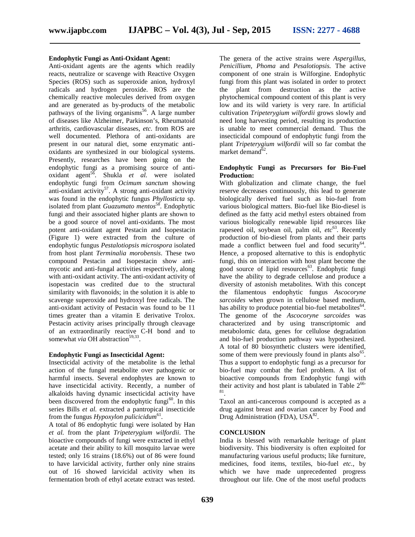#### **Endophytic Fungi as Anti-Oxidant Agent:**

Anti-oxidant agents are the agents which readily reacts, neutralize or scavenge with Reactive Oxygen Species (ROS) such as superoxide anion, hydroxyl radicals and hydrogen peroxide. ROS are the chemically reactive molecules derived from oxygen and are generated as by-products of the metabolic pathways of the living organisms<sup>56</sup>. A large number of diseases like Alzheimer, Parkinson's, Rheumatoid arthritis, cardiovascular diseases, *etc.* from ROS are well documented. Plethora of anti-oxidants are present in our natural diet, some enzymatic anti oxidants are synthesized in our biological systems. Presently, researches have been going on the endophytic fungi as a promising source of anti oxidant agent<sup>56</sup>. Shukla *et al.* were isolated endophytic fungi from *Ocimum sanctum* showing anti-oxidant activity<sup>57</sup>. A strong anti-oxidant activity was found in the endophytic fungus *Phyllosticta* sp. isolated from plant *Guazumato mentos*<sup>58</sup> . Endophytic fungi and their associated higher plants are shown to be a good source of novel anti-oxidants. The most potent anti-oxidant agent Pestacin and Isopestacin (Figure 1) were extracted from the culture of endophytic fungus *Pestalotiopsis microspora* isolated from host plant *Terminalia morobensis*. These two compound Pestacin and Isopestacin show anti mycotic and anti-fungal activities respectively, along with anti-oxidant activity. The anti-oxidant activity of isopestacin was credited due to the structural similarity with flavonoids; in the solution it is able to scavenge superoxide and hydroxyl free radicals. The anti-oxidant activity of Pestacin was found to be 11 times greater than a vitamin E derivative Trolox. Pestacin activity arises principally through cleavage of an extraordinarily reactive C-H bond and to somewhat *via* OH abstraction<sup>59,33</sup> .

#### **Endophytic Fungi as Insecticidal Agent:**

Insecticidal activity of the metabolite is the lethal action of the fungal metabolite over pathogenic or harmful insects. Several endophytes are known to have insecticidal activity. Recently, a number of alkaloids having dynamic insecticidal activity have been discovered from the endophytic fungi<sup>60</sup>. In this series Bills *et al.* extracted a pantropical insecticide from the fungus *Hypoxylon pulicicidum*<sup>61</sup>.

A total of 86 endophytic fungi were isolated by Han *et al.* from the plant *Tripeterygium wilfordii*. The bioactive compounds of fungi were extracted in ethyl acetate and their ability to kill mosquito larvae were tested; only 16 strains (18.6%) out of 86 were found to have larvicidal activity, further only nine strains out of 16 showed larvicidal activity when its fermentation broth of ethyl acetate extract was tested. The genera of the active strains were *Aspergillus*, *Penicillium*, *Phoma* and *Pesalotiopsis.* The active component of one strain is Wilforgine. Endophytic fungi from this plant was isolated in order to protect the plant from destruction as the active phytochemical compound content of this plant is very low and its wild variety is very rare. In artificial cultivation *Tripeterygium wilfordii* grows slowly and need long harvesting period, resulting its production is unable to meet commercial demand. Thus the insecticidal compound of endophytic fungi from the plant *Tripeterygium wilfordii* will so far combat the market demand $62$ .

## **Endophytic Fungi as Precursors for Bio-Fuel Production:**

With globalization and climate change, the fuel reserve decreases continuously, this lead to generate biologically derived fuel such as bio-fuel from various biological matters. Bio-fuel like Bio-diesel is defined as the fatty acid methyl esters obtained from various biologically renewable lipid resources like rapeseed oil, soybean oil, palm oil, *etc*<sup>63</sup>. Recently production of bio-diesel from plants and their parts made a conflict between fuel and food security<sup>64</sup>. Hence, a proposed alternative to this is endophytic fungi, this on interaction with host plant become the good source of lipid resources $63$ . Endophytic fungi have the ability to degrade cellulose and produce a diversity of astonish metabolites. With this concept the filamentous endophytic fungus *Ascocoryne sarcoides* when grown in cellulose based medium, has ability to produce potential bio-fuel metabolites<sup>64</sup>. The genome of the *Ascocoryne sarcoides* was characterized and by using transcriptomic and metabolomic data, genes for cellulose degradation and bio-fuel production pathway was hypothesized. A total of 80 biosynthetic clusters were identified, some of them were previously found in plants  $also^{65}$ . Thus a support to endophytic fungi as a precursor for bio-fuel may combat the fuel problem. A list of bioactive compounds from Endophytic fungi with their activity and host plant is tabulated in Table  $2^{66}$ .

Taxol an anti-cancerous compound is accepted as a drug against breast and ovarian cancer by Food and Drug Administration (FDA),  $USA^{82}$ .

## **CONCLUSION**

India is blessed with remarkable heritage of plant biodiversity. This biodiversity is often exploited for manufacturing various useful products; like furniture, medicines, food items, textiles, bio-fuel *etc.*, by which we have made unprecedented progress throughout our life. One of the most useful products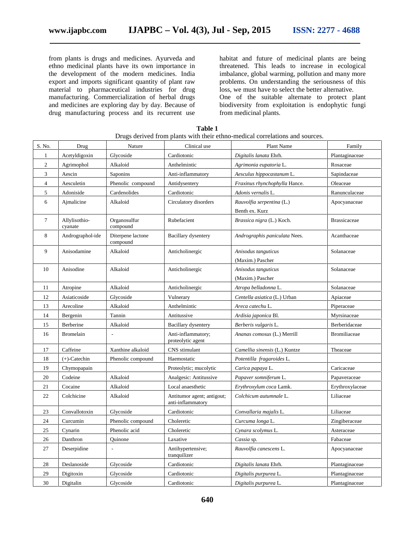from plants is drugs and medicines. Ayurveda and ethno medicinal plants have its own importance in the development of the modern medicines. India export and imports significant quantity of plant raw material to pharmaceutical industries for drug manufacturing. Commercialization of herbal drugs and medicines are exploring day by day. Because of drug manufacturing process and its recurrent use

habitat and future of medicinal plants are being threatened. This leads to increase in ecological imbalance, global warming, pollution and many more problems. On understanding the seriousness of this loss, we must have to select the better alternative. One of the suitable alternate to protect plant biodiversity from exploitation is endophytic fungi from medicinal plants.

| S. No.         | Drug                     | Nature                        | Clinical use                                    | <b>Plant Name</b>             | Family              |
|----------------|--------------------------|-------------------------------|-------------------------------------------------|-------------------------------|---------------------|
| 1              | Acetyldigoxin            | Glycoside                     | Cardiotonic                                     | Digitalis lanata Ehrh.        | Plantaginaceae      |
| $\overline{c}$ | Agrimophol               | Alkaloid                      | Anthelmintic                                    | Agrimonia eupatoria L.        | Rosaceae            |
| 3              | Aescin                   | Saponins                      | Anti-inflammatory                               | Aesculus hippocastanum L.     | Sapindaceae         |
| $\overline{4}$ | Aesculetin               | Phenolic compound             | Antidysentery                                   | Fraxinus rhynchophylla Hance. | Oleaceae            |
| 5              | Adoniside                | Cardenolides                  | Cardiotonic                                     | Adonis vernalis L.            | Ranunculaceae       |
| 6              | Aimalicine               | Alkaloid                      | Circulatory disorders                           | Rauvolfia serpentina (L.)     |                     |
|                |                          |                               |                                                 | Benth ex. Kurz                |                     |
| $\tau$         | Allylisothio-<br>cyanate | Organosulfur<br>compound      | Rubefacient                                     | Brassica nigra (L.) Koch.     | <b>Brassicaceae</b> |
| 8              | Andrographol-ide         | Diterpene lactone<br>compound | Bacillary dysentery                             | Andrographis paniculata Nees. | Acanthaceae         |
| 9              | Anisodamine              | Alkaloid                      | Anticholinergic                                 | Anisodus tanguticus           | Solanaceae          |
|                |                          |                               |                                                 | (Maxim.) Pascher              |                     |
| 10             | Anisodine                | Alkaloid                      | Anticholinergic                                 | Anisodus tanguticus           | Solanaceae          |
|                |                          |                               |                                                 | (Maxim.) Pascher              |                     |
| 11             | Atropine                 | Alkaloid                      | Anticholinergic                                 | Atropa belladonna L.          | Solanaceae          |
| 12             | Asiaticoside             | Glycoside                     | Vulnerary                                       | Centella asiatica (L.) Urban  | Apiaceae            |
| 13             | Arecoline                | Alkaloid                      | Anthelmintic                                    | Areca catechu L.              | Piperaceae          |
| 14             | Bergenin                 | Tannin                        | Antitussive                                     | Ardisia japonica Bl.          | Myrsinaceae         |
| 15             | Berberine                | Alkaloid                      | <b>Bacillary</b> dysentery                      | Berberis vulgaris L.          | Berberidaceae       |
| 16             | <b>Bromelain</b>         |                               | Anti-inflammatory;<br>proteolytic agent         | Ananas comosus (L.) Merrill   | Bromiliaceae        |
| 17             | Caffeine                 | Xanthine alkaloid             | CNS stimulant                                   | Camellia sinensis (L.) Kuntze | Theaceae            |
| 18             | $(+)$ -Catechin          | Phenolic compound             | Haemostatic                                     | Potentilla fragaroides L.     |                     |
| 19             | Chymopapain              |                               | Proteolytic; mucolytic                          | Carica papaya L.              | Caricaceae          |
| 20             | Codeine                  | Alkaloid                      | Analgesic: Antitussive                          | Papaver somniferum L.         | Papaveraceae        |
| 21             | Cocaine                  | Alkaloid                      | Local anaesthetic                               | Erythroxylum coca Lamk.       | Erythroxylaceae     |
| 22             | Colchicine               | Alkaloid                      | Antitumor agent; antigout;<br>anti-inflammatory | Colchicum autumnale L.        | Liliaceae           |
| 23             | Convallotoxin            | Glycoside                     | Cardiotonic                                     | Convallaria majalis L.        | Liliaceae           |
| 24             | Curcumin                 | Phenolic compound             | Choleretic                                      | Curcuma longa L.              | Zingiberaceae       |
| 25             | Cynarin                  | Phenolic acid                 | Choleretic                                      | Cynara scolymus L.            | Asteraceae          |
| 26             | Danthron                 | Ouinone                       | Laxative                                        | Cassia sp.                    | Fabaceae            |
| 27             | Deserpidine              |                               | Antihypertensive;<br>tranquilizer               | Rauvolfia canescens L.        | Apocyanaceae        |
| 28             | Deslanoside              | Glycoside                     | Cardiotonic                                     | Digitalis lanata Ehrh.        | Plantaginaceae      |
| 29             | Digitoxin                | Glycoside                     | Cardiotonic                                     | Digitalis purpurea L.         | Plantaginaceae      |
| 30             | Digitalin                | Glycoside                     | Cardiotonic                                     | Digitalis purpurea L.         | Plantaginaceae      |

**Table 1** Drugs derived from plants with their ethno-medical correlations and sources.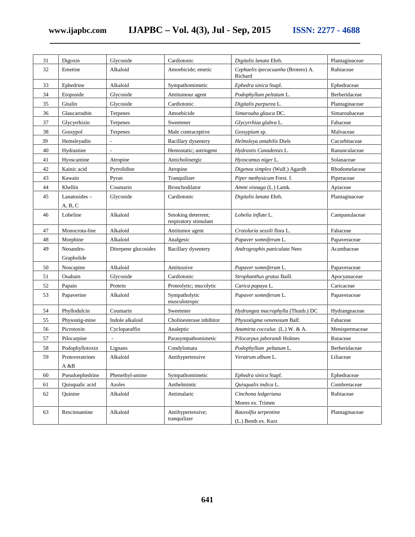**www.ijapbc.com IJAPBC – Vol. 4(3), Jul - Sep, 2015 ISSN: 2277 - 4688**

| 31 | Digoxin                  | Glycoside            | Cardiotonic                                 | Digitalis lanata Ehrh.                        | Plantaginaceae |
|----|--------------------------|----------------------|---------------------------------------------|-----------------------------------------------|----------------|
| 32 | Emetine                  | Alkaloid             | Amoebicide; emetic                          | Cephaelis ipecacuanha (Brotero) A.<br>Richard | Rubiaceae      |
| 33 | Ephedrine                | Alkaloid             | Sympathomimetic                             | Ephedra sinica Stapf.                         | Ephedraceae    |
| 34 | Etoposide                | Glycoside            | Antitumour agent                            | Podophyllum peltatum L.                       | Berberidaceae  |
| 35 | Gitalin                  | Glycoside            | Cardiotonic                                 | Digitalis purpurea L.                         | Plantaginaceae |
| 36 | Glaucaroubin             | Terpenes             | Amoebicide                                  | Simarouba glauca DC.                          | Simaroubaceae  |
| 37 | Glycyrrhizin             | Terpenes             | Sweetener                                   | Glycyrrhiza glabra L.                         | Fabaceae       |
| 38 | Gossypol                 | Terpenes             | Male contraceptive                          | Gossypium sp.                                 | Malvaceae      |
| 39 | Hemsleyadin              |                      | Bacillary dysentery                         | Helmsleya amabilis Diels                      | Cucurbitaceae  |
| 40 | Hydrastine               | L.                   | Hemostatic; astringent                      | Hydrastis Canadensis L.                       | Ranunculaceae  |
| 41 | Hyoscamine               | Atropine             | Anticholinergic                             | Hyoscamus niger L.                            | Solanaceae     |
| 42 | Kainic acid              | Pyrrolidine          | Atropine                                    | Digenea simplex (Wulf.) Agardh                | Rhodomelaceae  |
| 43 | Kawain                   | Pyran                | Tranquilizer                                | Piper methysicum Forst. f.                    | Piperaceae     |
| 44 | Khellin                  | Coumarin             | Bronchodilator                              | Ammi visnaga (L.) Lamk.                       | Apiaceae       |
| 45 | Lanatosides-<br>A, B, C  | Glycoside            | Cardiotonic                                 | Digitalis lanata Ehrh.                        | Plantaginaceae |
| 46 | Lobeline                 | Alkaloid             | Smoking deterrent;<br>respiratory stimulant | Lobelia inflate L.                            | Campanulaceae  |
| 47 | Monocrota-line           | Alkaloid             | Antitumor agent                             | Crotolaria sessili flora L.                   | Fabaceae       |
| 48 | Morphine                 | Alkaloid             | Analgesic                                   | Papaver somniferum L.                         | Papaveraceae   |
| 49 | Neoandro-<br>Grapholide  | Diterpene glucosides | <b>Bacillary dysentery</b>                  | Andrographis paniculata Nees                  | Acanthaceae    |
| 50 | Noscapine                | Alkaloid             | Antitussive                                 | Papaver somniferum L.                         | Papaveraceae   |
| 51 | Ouabain                  | Glycoside            | Cardiotonic                                 | Strophanthus gratus Baill.                    | Apocyanaceae   |
| 52 | Papain                   | Protein              | Proteolytic; mucolytic                      | Carica papaya L.                              | Caricaceae     |
| 53 | Papaverine               | Alkaloid             | Sympatholytic<br>musculotropic              | Papaver somniferum L.                         | Papaveraceae   |
| 54 | Phyllodulcin             | Coumarin             | Sweetener                                   | Hydrangea macrophylla (Thunb.) DC             | Hydrangeaceae  |
| 55 | Physostig-mine           | Indole alkaloid      | Cholinesterase inhibitor                    | Physostigma venenosum Balf.                   | Fabaceae       |
| 56 | Picrotoxin               | Cycloparaffin        | Analeptic                                   | Anamirta cocculus (L.) W. & A.                | Menispermaceae |
| 57 | Pilocarpine              |                      | Parasympathomimetic                         | Pilocarpus jaborandi Holmes                   | Rutaceae       |
| 58 | Podophyllotoxin          | Lignans              | Condylomata                                 | Podophyllum peltatum L.                       | Berberidaceae  |
| 59 | Protoveratrines<br>A & B | Alkaloid             | Antihypertensive                            | Veratrum album L.                             | Liliaceae      |
| 60 | Pseudoephedrine          | Phenethyl-amine      | Sympathomimetic                             | Ephedra sinica Stapf.                         | Ephedraceae    |
| 61 | Quisqualic acid          | Azoles               | Anthelmintic                                | Quisqualis indica L.                          | Combretaceae   |
| 62 | Quinine                  | Alkaloid             | Antimalaric                                 | Cinchona ledgeriana<br>Moens ex. Trimen       | Rubiaceae      |
| 63 | Rescinnamine             | Alkaloid             | Antihypertensive;<br>tranquilizer           | Rauvolfia serpentine<br>(L.) Benth ex. Kurz   | Plantaginaceae |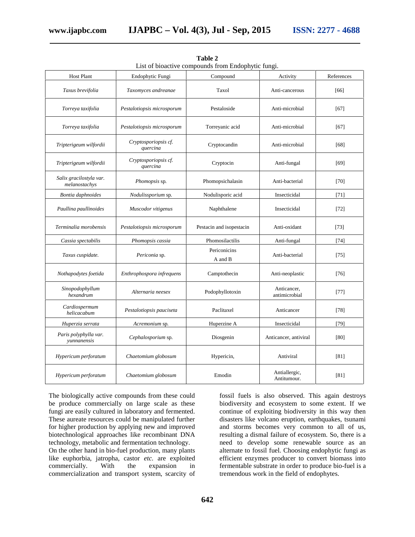| <b>Host Plant</b>                        | Endophytic Fungi                 |                          | Activity                     | References |
|------------------------------------------|----------------------------------|--------------------------|------------------------------|------------|
| Taxus brevifolia                         | Taxomyces andreanae              | Taxol                    | Anti-cancerous               | [66]       |
| Torreya taxifolia                        | Pestalotiopsis microsporum       | Pestaloside              | Anti-microbial               | [67]       |
| Torreya taxifolia                        | Pestalotiopsis microsporum       | Torreyanic acid          | Anti-microbial               | [67]       |
| Tripterigeum wilfordii                   | Cryptosporiopsis cf.<br>quercina | Cryptocandin             | Anti-microbial               | [68]       |
| Tripterigeum wilfordii                   | Cryptosporiopsis cf.<br>quercina | Cryptocin                | Anti-fungal                  | [69]       |
| Salix gracilostyla var.<br>melanostachys | Phomopsis sp.                    | Phomopsichalasin         | Anti-bacterial               | $[70]$     |
| Bontia daphnoides                        | Nodulissporium sp.               | Nodulisporic acid        | Insecticidal                 | $[71]$     |
| Paullina paullinoides                    | Muscodor vitigenus               | Naphthalene              | Insecticidal                 | $[72]$     |
| Terminalia morobensis                    | Pestalotiopsis microsporum       | Pestacin and isopestacin | Anti-oxidant                 | $[73]$     |
| Cassia spectabilis                       | Phomopsis cassia                 | Phomosilactilis          | Anti-fungal                  | $[74]$     |
| Taxus cuspidate.                         | Periconia sp.                    | Periconicins<br>A and B  | Anti-bacterial               | $[75]$     |
| Nothapodytes foetida                     | Enthrophospora infrequens        | Camptothecin             | Anti-neoplastic              | $[76]$     |
| Sinopodophyllum<br>hexandrum             | Alternaria neesex                | Podophyllotoxin          | Anticancer,<br>antimicrobial | $[77]$     |
| Cardiospermum<br>helicacabum             | Pestalotiopsis pauciseta         | Paclitaxel               | Anticancer                   | $[78]$     |
| Huperzia serrata                         | Acremonium sp.                   | Huperzine A              | Insecticidal                 | $[79]$     |
| Paris polyphylla var.<br>yunnanensis     | Cephalosporium sp.               | Diosgenin                | Anticancer, antiviral        | [80]       |
| Hypericum perforatum                     | Chaetomium globosum              | Hypericin,               | Antiviral                    | [81]       |
| Hypericum perforatum                     | Chaetomium globosum              | Emodin                   | Antiallergic,<br>Antitumour. | [81]       |

**Table 2** List of bioactive compounds from Endophytic fungi.

The biologically active compounds from these could be produce commercially on large scale as these fungi are easily cultured in laboratory and fermented. These aureate resources could be manipulated further for higher production by applying new and improved biotechnological approaches like recombinant DNA technology, metabolic and fermentation technology. On the other hand in bio-fuel production, many plants like euphorbia, jatropha, castor *etc.* are exploited commercially. With the expansion in commercialization and transport system, scarcity of

fossil fuels is also observed. This again destroys biodiversity and ecosystem to some extent. If we continue of exploiting biodiversity in this way then disasters like volcano eruption, earthquakes, tsunami and storms becomes very common to all of us, resulting a dismal failure of ecosystem. So, there is a need to develop some renewable source as an alternate to fossil fuel. Choosing endophytic fungi as efficient enzymes producer to convert biomass into fermentable substrate in order to produce bio-fuel is a tremendous work in the field of endophytes.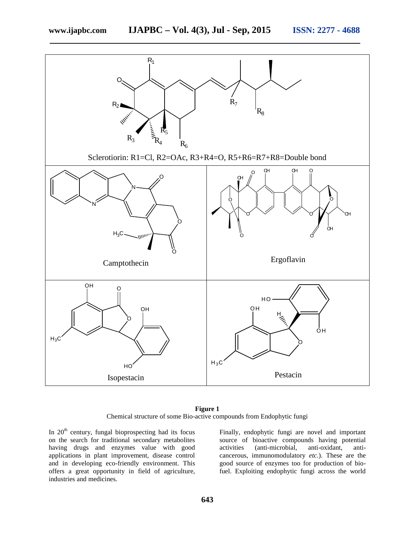

**Figure 1** Chemical structure of some Bio-active compounds from Endophytic fungi

In  $20<sup>th</sup>$  century, fungal bioprospecting had its focus on the search for traditional secondary metabolites having drugs and enzymes value with good activities applications in plant improvement, disease control and in developing eco-friendly environment. This offers a great opportunity in field of agriculture, industries and medicines.

Finally, endophytic fungi are novel and important source of bioactive compounds having potential (anti-microbial, anti-oxidant, anticancerous, immunomodulatory *etc.*). These are the good source of enzymes too for production of biofuel. Exploiting endophytic fungi across the world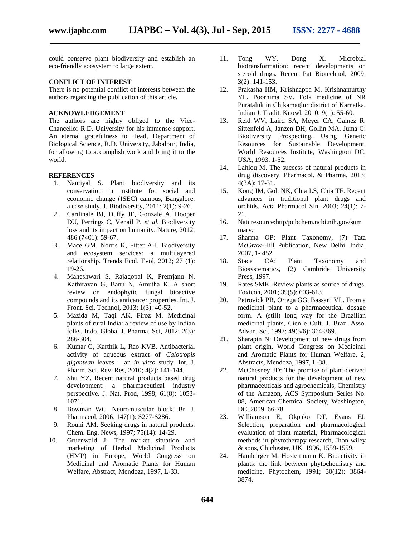could conserve plant biodiversity and establish an eco-friendly ecosystem to large extent.

#### **CONFLICT OF INTEREST**

There is no potential conflict of interests between the authors regarding the publication of this article.

## **ACKNOWLEDGEMENT**

The authors are highly obliged to the Vice- Chancellor R.D. University for his immense support. An eternal gratefulness to Head, Department of Biological Science, R.D. University, Jabalpur, India, for allowing to accomplish work and bring it to the world.

#### **REFERENCES**

- 1. Nautiyal S. Plant biodiversity and its conservation in institute for social and economic change (ISEC) campus, Bangalore: a case study. J. Biodiversity, 2011; 2(1): 9-26.
- 2. Cardinale BJ, Duffy JE, Gonzale A, Hooper DU, Perrings C, Venail P. *et al.* Biodiversity loss and its impact on humanity. Nature, 2012; 486 (7401): 59-67.
- 3. Mace GM, Norris K, Fitter AH. Biodiversity and ecosystem services: a multilayered relationship. Trends Ecol. Evol, 2012; 27 (1): 19-26.
- 4. Maheshwari S, Rajagopal K, Premjanu N, Kathiravan G, Banu N, Amutha K. A short review on endophytic fungal bioactive compounds and its anticancer properties. Int. J. Front. Sci. Technol, 2013; 1(3): 40-52.
- 5. Mazida M, Taqi AK, Firoz M. Medicinal plants of rural India: a review of use by Indian folks. Indo. Global J. Pharma. Sci, 2012; 2(3): 286-304.
- 6. Kumar G, Karthik L, Rao KVB. Antibacterial activity of aqueous extract of *Calotropis gigantean* leaves – an *in vitro* study. Int. J. Pharm. Sci. Rev. Res, 2010; 4(2): 141-144.
- 7. Shu YZ. Recent natural products based drug development: a pharmaceutical industry perspective. J. Nat. Prod, 1998; 61(8): 1053- 1071.
- 8. Bowman WC. Neuromuscular block. Br. J. Pharmacol, 2006; 147(1): S277-S286.
- 9. Rouhi AM. Seeking drugs in natural products. Chem. Eng. News, 1997; 75(14): 14-29.
- 10. Gruenwald J: The market situation and marketing of Herbal Medicinal Products (HMP) in Europe, World Congress on Medicinal and Aromatic Plants for Human Welfare, Abstract, Mendoza, 1997, L-33.
- Tong WY, Dong X. Microbial biotransformation: recent developments on steroid drugs. Recent Pat Biotechnol, 2009; 3(2): 141-153.
- 12. Prakasha HM, Krishnappa M, Krishnamurthy YL, Poornima SV. Folk medicine of NR Purataluk in Chikamaglur district of Karnatka. Indian J. Tradit. Knowl, 2010; 9(1): 55-60.
- 13. Reid WV, Laird SA, Meyer CA, Gamez R, Sittenfeld A, Janzen DH, Gollin MA, Juma C: Biodiversity Prospecting, Using Genetic Resources for Sustainable Development, World Resources Institute, Washington DC, USA, 1993, 1-52.
- 14. Lahlou M. The success of natural products in drug discovery. Pharmacol. & Pharma, 2013; 4(3A): 17-31.
- 15. Kong JM, Goh NK, Chia LS, Chia TF. Recent advances in traditional plant drugs and orchids. Acta Pharmacol Sin, 2003; 24(1): 7- 21.
- 16. Naturesource:http/pubchem.ncbi.nih.gov/sum mary.
- 17. Sharma OP: Plant Taxonomy, (7) Tata McGraw-Hill Publication, New Delhi, India, 2007, 1- 452.
- 18. Stace CA: Plant Taxonomy and Biosystematics, (2) Cambride University Press, 1997.
- 19. Rates SMK. Review plants as source of drugs. Toxicon, 2001; 39(5): 603-613.
- 20. Petrovick PR, Ortega GG, Bassani VL. From a medicinal plant to a pharmaceutical dosage form. A (still) long way for the Brazilian medicinal plants, Cien e Cult. J. Braz. Asso. Advan. Sci, 1997; 49(5/6): 364-369.
- 21. Sharapin N: Development of new drugs from plant origin, World Congress on Medicinal and Aromatic Plants for Human Welfare, 2, Abstracts, Mendoza, 1997, L-38.
- 22. McChesney JD: The promise of plant-derived natural products for the development of new pharmaceuticals and agrochemicals, Chemistry of the Amazon, ACS Symposium Series No. 88, American Chemical Society, Washington, DC, 2009, 66-78.
- 23. Williamson E, Okpako DT, Evans FJ: Selection, preparation and pharmacological evaluation of plant material, Pharmacological methods in phytotherapy research, Jhon wiley & sons, Chichester, UK, 1996, 1559-1559.
- Hamburger M, Hostettmann K. Bioactivity in plants: the link between phytochemistry and medicine. Phytochem, 1991; 30(12): 3864- 3874.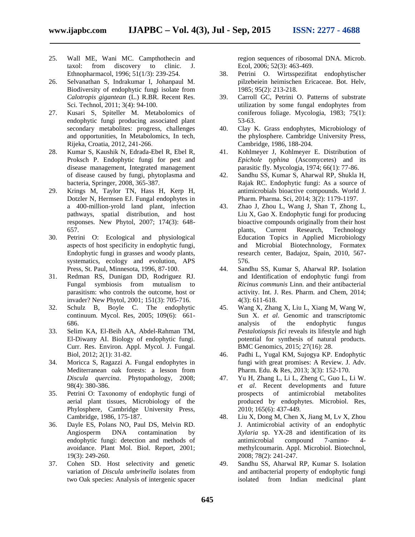25. Wall ME, Wani MC. Campthothecin and taxol: from discovery to clinic. J. Ethnopharmacol, 1996; 51(1/3): 239-254.

- 26. Selvanathan S, Indrakumar I, Johanpaul M. Biodiversity of endophytic fungi isolate from *Calotropis gigantean* (L.) R.BR. Recent Res. Sci. Technol, 2011; 3(4): 94-100.
- 27. Kusari S, Spiteller M. Metabolomics of endophytic fungi producing associated plant secondary metabolites: progress, challenges and opportunities, In Metabolomics, In tech, Rijeka, Croatia, 2012, 241-266.
- 28. Kumar S, Kaushik N, Edrada-Ebel R, Ebel R, Proksch P. Endophytic fungi for pest and disease management, Integrated management of disease caused by fungi, phytoplasma and bacteria, Springer, 2008, 365-387.
- 29. Krings M, Taylor TN, Hass H, Kerp H, Dotzler N, Hermsen EJ. Fungal endophytes in a 400-million-yrold land plant, infection pathways, spatial distribution, and host responses. New Phytol, 2007; 174(3): 648- 657.
- 30. Petrini O: Ecological and physiological aspects of host specificity in endophytic fungi, Endophytic fungi in grasses and woody plants, systematics, ecology and evolution, APS Press, St. Paul, Minnesota, 1996, 87-100.
- 31. Redman RS, Dunigan DD, Rodriguez RJ. Fungal symbiosis from mutualism to parasitism: who controls the outcome, host or invader? New Phytol, 2001; 151(3): 705-716.
- 32. Schulz B, Boyle C. The endophytic continuum. Mycol. Res*,* 2005; 109(6): 661- 686.
- 33. Selim KA, El-Beih AA, Abdel-Rahman TM, El-Diwany AI. Biology of endophytic fungi. Curr. Res. Environ. Appl. Mycol. J. Fungal. Biol, 2012; 2(1): 31-82.
- 34. Moricca S, Ragazzi A. Fungal endophytes in Mediterranean oak forests: a lesson from *Discula quercina*. Phytopathology, 2008; 98(4): 380-386.
- 35. Petrini O: Taxonomy of endophytic fungi of aerial plant tissues, Microbiology of the Phylosphere, Cambridge University Press, Cambridge, 1986, 175-187.
- 36. Dayle ES, Polans NO, Paul DS, Melvin RD. Angiosperm DNA contamination by endophytic fungi: detection and methods of avoidance. Plant Mol. Biol. Report, 2001; 19(3): 249-260.
- 37. Cohen SD. Host selectivity and genetic variation of *Discula umbrinella* isolates from two Oak species: Analysis of intergenic spacer

region sequences of ribosomal DNA. Microb. Ecol, 2006; 52(3): 463-469.

- 38. Petrini O. Wirtsspezifitat endophytischer pilzebeiein heimischen Ericaceae. Bot. Helv, 1985; 95(2): 213-218.
- 39. Carroll GC, Petrini O. Patterns of substrate utilization by some fungal endophytes from coniferous foliage. Mycologia, 1983; 75(1): 53-63.
- 40. Clay K. Grass endophytes, Microbiology of the phylosphere. Cambridge University Press, Cambridge, 1986, 188-204.
- 41. Kohlmeyer J, Kohlmeyer E. Distribution of *Epichole typhina* (Ascomycetes) and its parasitic fly. Mycologia, 1974; 66(1): 77-86.
- Sandhu SS, Kumar S, Aharwal RP, Shukla H, Rajak RC. Endophytic fungi: As a source of antimicrobials bioactive compounds. World J. Pharm. Pharma. Sci, 2014; 3(2): 1179-1197.
- 43. Zhao J, Zhou L, Wang J, Shan T, Zhong L, Liu X, Gao X. Endophytic fungi for producing bioactive compounds originally from their host plants, Current Research, Technology Education Topics in Applied Microbiology and Microbial Biotechnology, Formatex research center, Badajoz, Spain, 2010, 567- 576.
- 44. Sandhu SS, Kumar S, Aharwal RP. Isolation and Identification of endophytic fungi from *Ricinus communis* Linn. and their antibacterial activity. Int. J. Res. Pharm. and Chem, 2014; 4(3): 611-618.
- 45. Wang X, Zhang X, Liu L, Xiang M, Wang W, Sun X. *et al*. Genomic and transcriptomic analysis of the endophytic fungus *Pestalotiopsis fici* reveals its lifestyle and high potential for synthesis of natural products. BMC Genomics, 2015; 27(16): 28.
- 46. Padhi L, Yugal KM, Sujogya KP. Endophytic fungi with great promises: A Review. J. Adv. Pharm. Edu. & Res, 2013; 3(3): 152-170.
- 47. Yu H, Zhang L, Li L, Zheng C, Guo L, Li W. *et al*. Recent developments and future prospects of antimicrobial metabolites produced by endophytes. Microbiol. Res, 2010; 165(6): 437-449.
- 48. Liu X, Dong M, Chen X, Jiang M, Lv X, Zhou J. Antimicrobial activity of an endophytic *Xylaria* sp. YX-28 and identification of its antimicrobial compound 7-amino- 4 methylcoumarin. Appl. Microbiol. Biotechnol, 2008; 78(2): 241-247.
- 49. Sandhu SS, Aharwal RP, Kumar S. Isolation and antibacterial property of endophytic fungi isolated from Indian medicinal plant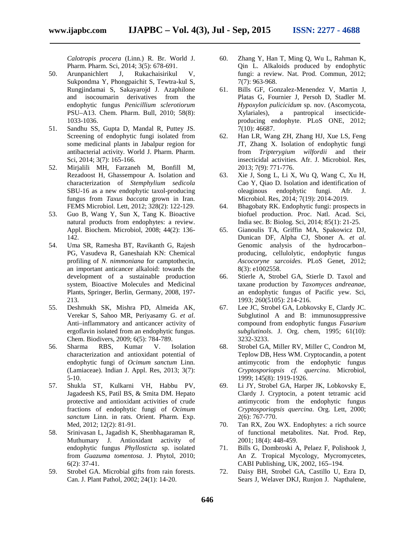*Calotropis procera* (Linn.) R. Br. World J. Pharm. Pharm. Sci, 2014; 3(5): 678-691.

- 50. Arunpanichlert J, Rukachaisirikul V, Sukpondma Y, Phongpaichit S, Tewtra-kul S, Rungjindamai S, Sakayarojd J. Azaphilone and isocoumarin derivatives from the endophytic fungus *Penicillium sclerotiorum* PSU–A13. Chem. Pharm. Bull, 2010; 58(8): 1033-1036.
- 51. Sandhu SS, Gupta D, Mandal R, Puttey JS. Screening of endophytic fungi isolated from 62. some medicinal plants in Jabalpur region for antibacterial activity. World J. Pharm. Pharm. Sci, 2014; 3(7): 165-166.
- 52. Mirjalili MH, Farzaneh M, Bonfill M, Rezadoost H, Ghassempour A. Isolation and characterization of *Stemphylium sedicola* SBU-16 as a new endophytic taxol-producing fungus from *Taxus baccata* grown in Iran. FEMS Microbiol. Lett, 2012; 328(2): 122-129.
- 53. Guo B, Wang Y, Sun X, Tang K. Bioactive natural products from endophytes: a review. Appl. Biochem. Microbiol, 2008; 44(2): 136*-* 142.
- 54. Uma SR, Ramesha BT, Ravikanth G, Rajesh PG, Vasudeva R, Ganeshaiah KN: Chemical profiling of *N. nimmoniana* for camptothecin, an important anticancer alkaloid: towards the development of a sustainable production 66. system, Bioactive Molecules and Medicinal Plants, Springer, Berlin, Germany, 2008, 197- 213.
- 55. Deshmukh SK, Mishra PD, Almeida AK, Verekar S, Sahoo MR, Periyasamy G. *et al*. Anti–inflammatory and anticancer activity of ergoflavin isolated from an endophytic fungus. Chem. Biodivers, 2009; 6(5): 784-789.
- 56. Sharma RBS, Kumar V. Isolation characterization and antioxidant potential of endophytic fungi of *Ocimum sanctum* Linn. (Lamiaceae). Indian J. Appl. Res, 2013; 3(7): 5-10.
- 57. Shukla ST, Kulkarni VH, Habbu PV, Jagadeesh KS, Patil BS, & Smita DM. Hepato protective and antioxidant activities of crude fractions of endophytic fungi of *Ocimum sanctum* Linn. in rats. Orient. Pharm. Exp. Med, 2012; 12(2): 81-91.
- 58. Srinivasan L, Jagadish K, Shenbhagaraman R, Muthumary J. Antioxidant activity of endophytic fungus *Phyllosticta* sp. isolated from *Guazuma tomentosa*. J. Phytol, 2010; 6(2): 37-41.
- 59. Strobel GA. Microbial gifts from rain forests. Can. J. Plant Pathol, 2002; 24(1): 14-20.
- 60. Zhang Y, Han T, Ming Q, Wu L, Rahman K, Qin L. Alkaloids produced by endophytic fungi: a review. Nat. Prod. Commun, 2012; 7(7): 963-968.
- 61. Bills GF, Gonzalez-Menendez V, Martin J, Platas G, Fournier J, Persoh D, Stadler M. *Hypoxylon pulicicidum* sp. nov. (Ascomycota, Xylariales), a pantropical insecticide producing endophyte. PLoS ONE, 2012; 7(10): 46687.
- 62. Han LR, Wang ZH, Zhang HJ, Xue LS, Feng JT, Zhang X. Isolation of endophytic fungi from *Tripterygium wilfordii* and their insecticidal activities. Afr. J. Microbiol. Res, 2013; 7(9): 771-776.
- 63. Xie J, Song L, Li X, Wu Q, Wang C, Xu H, Cao Y, Qiao D. Isolation and identification of oleaginous endophytic fungi. Afr. J. Microbiol. Res, 2014; 7(19): 2014-2019.
- 64. Bhagobaty RK. Endophytic fungi: prospects in biofuel production. Proc. Natl. Acad. Sci, India sec. B: Biolog. Sci, 2014; 85(1): 21-25.
- 65. Gianoulis TA, Griffin MA, Spakowicz DJ, Dunican DF, Alpha CJ, Sboner A. *et al*. Genomic analysis of the hydrocarbon– producing, cellulolytic, endophytic fungus *Ascocoryne sarcoides*. PLoS Genet, 2012; 8(3): e1002558.
- Stierle A, Strobel GA, Stierle D. Taxol and taxane production by *Taxomyces andreanae,* an endophytic fungus of Pacific yew. Sci, 1993; 260(5105): 214-216.
- 67. Lee JC, Strobel GA, Lobkovsky E, Clardy JC. Subglutinol A and B: immunosuppressive compound from endophytic fungus *Fusarium subglutinols*. J. Org. chem, 1995; 61(10): 3232-3233.
- Strobel GA, Miller RV, Miller C, Condron M, Teplow DB, Hess WM. Cryptocandin, a potent antimycotic from the endophytic fungus *Cryptosporiopsis cf. quercina*. Microbiol, 1999; 145(8): 1919-1926.
- 69. Li JY, Strobel GA, Harper JK, Lobkovsky E, Clardy J. Cryptocin, a potent tetramic acid antimycotic from the endophytic fungus *Cryptosporiopsis quercina*. Org. Lett, 2000; 2(6): 767-770.
- 70. Tan RX, Zou WX. Endophytes: a rich source of functional metabolites. Nat. Prod. Rep, 2001; 18(4): 448-459.
- 71. Bills G, Dombroski A, Pelaez F, Polishook J, An Z. Tropical Mycology, Mycromycetes, CABI Publishing, UK, 2002, 165–194.
- 72. Daisy BH, Strobel GA, Castillo U, Ezra D, Sears J, Welaver DKJ, Runjon J. Napthalene,